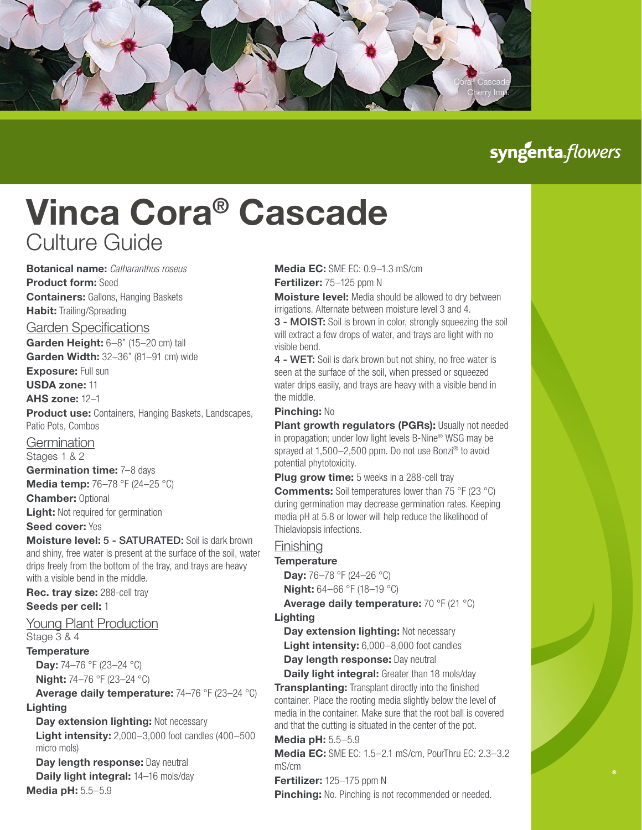

# syngenta flowers

# Vinca Cora® Cascade Culture Guide

Botanical name: *Catharanthus roseus* Product form: Seed **Containers: Gallons, Hanging Baskets** Habit: Trailing/Spreading Garden Specifications Garden Height: 6–8" (15–20 cm) tall Garden Width: 32-36" (81-91 cm) wide **Exposure: Full sun** USDA zone: 11 AHS zone: 12–1 **Product use:** Containers, Hanging Baskets, Landscapes, Patio Pots, Combos **Germination** Stages 1 & 2 Germination time: 7-8 days

**Media temp:** 76–78 °F (24–25 °C)

**Chamber: Optional** 

Light: Not required for germination

Seed cover: Yes

Moisture level: 5 - SATURATED: Soil is dark brown and shiny, free water is present at the surface of the soil, water drips freely from the bottom of the tray, and trays are heavy with a visible bend in the middle.

Rec. tray size: 288-cell tray Seeds per cell: 1

#### Young Plant Production

Stage 3 & 4

**Temperature** 

**Day:** 74–76 °F (23–24 °C)

**Night:** 74–76 °F (23–24 °C)

Average daily temperature: 74–76 °F (23–24 °C) Lighting

#### Day extension lighting: Not necessary

**Light intensity:** 2,000–3,000 foot candles (400–500) micro mols)

Day length response: Day neutral Daily light integral: 14-16 mols/day

Media pH: 5.5–5.9

## Media EC: SMF FC: 0.9-1.3 mS/cm

Fertilizer: 75-125 ppm N

**Moisture level:** Media should be allowed to dry between irrigations. Alternate between moisture level 3 and 4. 3 - MOIST: Soil is brown in color, strongly squeezing the soil will extract a few drops of water, and trays are light with no

visible bend.

4 - WET: Soil is dark brown but not shiny, no free water is seen at the surface of the soil, when pressed or squeezed water drips easily, and trays are heavy with a visible bend in the middle.

#### Pinching: No

Plant growth regulators (PGRs): Usually not needed in propagation; under low light levels B-Nine® WSG may be sprayed at 1,500–2,500 ppm. Do not use Bonzi<sup>®</sup> to avoid potential phytotoxicity.

**Plug grow time:** 5 weeks in a 288-cell tray **Comments:** Soil temperatures lower than 75 °F (23 °C) during germination may decrease germination rates. Keeping media pH at 5.8 or lower will help reduce the likelihood of Thielaviopsis infections.

#### **Finishing**

#### **Temperature**

**Day:** 76–78 °F (24–26 °C) Night: 64–66 °F (18–19 °C)

Average daily temperature: 70 °F (21 °C)

#### Lighting

Day extension lighting: Not necessary Light intensity: 6,000-8,000 foot candles

Day length response: Day neutral

Daily light integral: Greater than 18 mols/day **Transplanting:** Transplant directly into the finished container. Place the rooting media slightly below the level of media in the container. Make sure that the root ball is covered and that the cutting is situated in the center of the pot.

#### Media pH: 5.5–5.9

Media EC: SME EC: 1.5–2.1 mS/cm, PourThru EC: 2.3–3.2 mS/cm

#### Fertilizer: 125-175 ppm N

**Pinching:** No. Pinching is not recommended or needed.